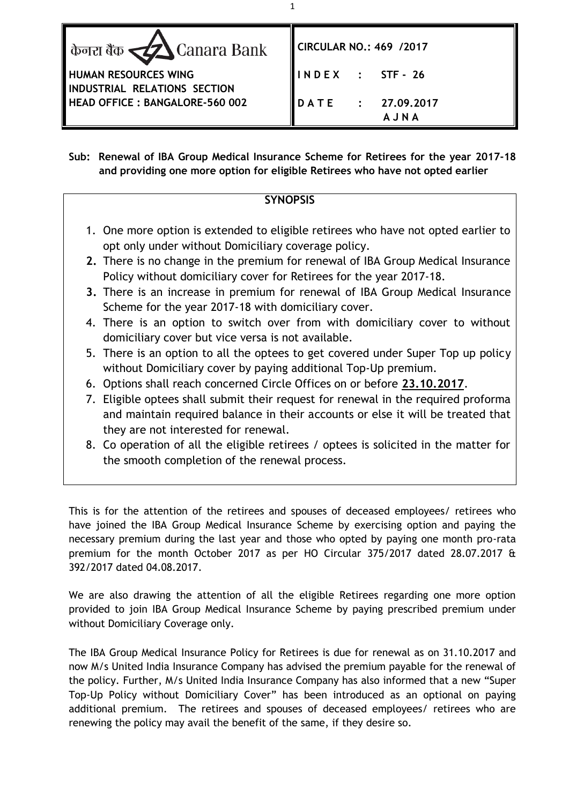| केनरा बैंक <u>र्द्र Canara Bank</u>                         | CIRCULAR NO.: 469 /2017   |
|-------------------------------------------------------------|---------------------------|
| <b>HUMAN RESOURCES WING</b><br>INDUSTRIAL RELATIONS SECTION | $INDEX$ : STF-26          |
| <b>HEAD OFFICE: BANGALORE-560 002</b>                       | DATE : 27.09.2017<br>AJNA |

**Sub: Renewal of IBA Group Medical Insurance Scheme for Retirees for the year 2017-18 and providing one more option for eligible Retirees who have not opted earlier**

## **SYNOPSIS**

- 1. One more option is extended to eligible retirees who have not opted earlier to opt only under without Domiciliary coverage policy.
- **2.** There is no change in the premium for renewal of IBA Group Medical Insurance Policy without domiciliary cover for Retirees for the year 2017-18.
- **3.** There is an increase in premium for renewal of IBA Group Medical Insurance Scheme for the year 2017-18 with domiciliary cover.
- 4. There is an option to switch over from with domiciliary cover to without domiciliary cover but vice versa is not available.
- 5. There is an option to all the optees to get covered under Super Top up policy without Domiciliary cover by paying additional Top-Up premium.
- 6. Options shall reach concerned Circle Offices on or before **23.10.2017**.
- 7. Eligible optees shall submit their request for renewal in the required proforma and maintain required balance in their accounts or else it will be treated that they are not interested for renewal.
- 8. Co operation of all the eligible retirees / optees is solicited in the matter for the smooth completion of the renewal process.

This is for the attention of the retirees and spouses of deceased employees/ retirees who have joined the IBA Group Medical Insurance Scheme by exercising option and paying the necessary premium during the last year and those who opted by paying one month pro-rata premium for the month October 2017 as per HO Circular 375/2017 dated 28.07.2017 & 392/2017 dated 04.08.2017.

We are also drawing the attention of all the eligible Retirees regarding one more option provided to join IBA Group Medical Insurance Scheme by paying prescribed premium under without Domiciliary Coverage only.

The IBA Group Medical Insurance Policy for Retirees is due for renewal as on 31.10.2017 and now M/s United India Insurance Company has advised the premium payable for the renewal of the policy. Further, M/s United India Insurance Company has also informed that a new "Super Top-Up Policy without Domiciliary Cover" has been introduced as an optional on paying additional premium. The retirees and spouses of deceased employees/ retirees who are renewing the policy may avail the benefit of the same, if they desire so.

1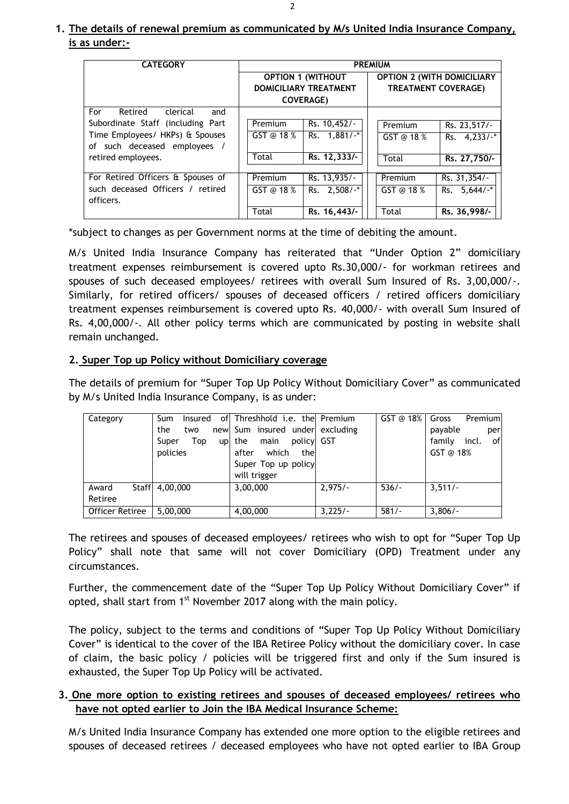# **1. The details of renewal premium as communicated by M/s United India Insurance Company, is as under:-**

| <b>CATEGORY</b>                   |                              |               | <b>PREMIUM</b>                    |                 |
|-----------------------------------|------------------------------|---------------|-----------------------------------|-----------------|
|                                   | <b>OPTION 1 (WITHOUT</b>     |               | <b>OPTION 2 (WITH DOMICILIARY</b> |                 |
|                                   | <b>DOMICILIARY TREATMENT</b> |               | <b>TREATMENT COVERAGE)</b>        |                 |
|                                   | <b>COVERAGE)</b>             |               |                                   |                 |
| For<br>Retired<br>clerical<br>and |                              |               |                                   |                 |
| Subordinate Staff (including Part | Premium                      | Rs. 10,452/-  | Premium                           | Rs. 23,517/-    |
| Time Employees/ HKPs) & Spouses   | GST @ 18 %                   | Rs. 1.881/-*  | GST @ 18 %                        | Rs. $4.233/$ -* |
| of such deceased employees /      |                              |               |                                   |                 |
| retired employees.                | Total                        | Rs. 12,333/-  | Total                             | Rs. 27,750/-    |
|                                   |                              |               |                                   |                 |
| For Retired Officers & Spouses of | Premium                      | Rs. 13,935/-  | Premium                           | Rs. 31,354/-    |
| such deceased Officers / retired  | GST @ 18 $%$                 | Rs. 2,508/-*  | GST @ 18 %                        | $Rs. 5,644/$ *  |
| officers.                         |                              |               |                                   |                 |
|                                   | Total                        | Rs. 16, 443/- | Total                             | Rs. 36,998/-    |

\*subject to changes as per Government norms at the time of debiting the amount.

M/s United India Insurance Company has reiterated that "Under Option 2" domiciliary treatment expenses reimbursement is covered upto Rs.30,000/- for workman retirees and spouses of such deceased employees/ retirees with overall Sum Insured of Rs. 3,00,000/-. Similarly, for retired officers/ spouses of deceased officers / retired officers domiciliary treatment expenses reimbursement is covered upto Rs. 40,000/- with overall Sum Insured of Rs. 4,00,000/-. All other policy terms which are communicated by posting in website shall remain unchanged.

### **2. Super Top up Policy without Domiciliary coverage**

The details of premium for "Super Top Up Policy Without Domiciliary Cover" as communicated by M/s United India Insurance Company, is as under:

| Category        | Sum<br>Insured     | of Threshhold i.e. the Premium |           | GST@18% | Gross<br>Premium      |
|-----------------|--------------------|--------------------------------|-----------|---------|-----------------------|
|                 | the<br>two<br>new  | Sum insured under excluding    |           |         | payable<br>per        |
|                 | Top<br>Super<br>up | policy GST<br>main<br>the      |           |         | incl.<br>of<br>family |
|                 | policies           | which<br>after<br>thel         |           |         | GST @ 18%             |
|                 |                    | Super Top up policy            |           |         |                       |
|                 |                    | will trigger                   |           |         |                       |
| Staff<br>Award  | 4,00,000           | 3,00,000                       | $2.975/-$ | $536/-$ | $3.511/-$             |
| Retiree         |                    |                                |           |         |                       |
| Officer Retiree | 5,00,000           | 4,00,000                       | $3,225/-$ | $581/-$ | $3,806/-$             |

The retirees and spouses of deceased employees/ retirees who wish to opt for "Super Top Up Policy" shall note that same will not cover Domiciliary (OPD) Treatment under any circumstances.

Further, the commencement date of the "Super Top Up Policy Without Domiciliary Cover" if opted, shall start from 1<sup>st</sup> November 2017 along with the main policy.

The policy, subject to the terms and conditions of "Super Top Up Policy Without Domiciliary Cover" is identical to the cover of the IBA Retiree Policy without the domiciliary cover. In case of claim, the basic policy / policies will be triggered first and only if the Sum insured is exhausted, the Super Top Up Policy will be activated.

### **3. One more option to existing retirees and spouses of deceased employees/ retirees who have not opted earlier to Join the IBA Medical Insurance Scheme:**

M/s United India Insurance Company has extended one more option to the eligible retirees and spouses of deceased retirees / deceased employees who have not opted earlier to IBA Group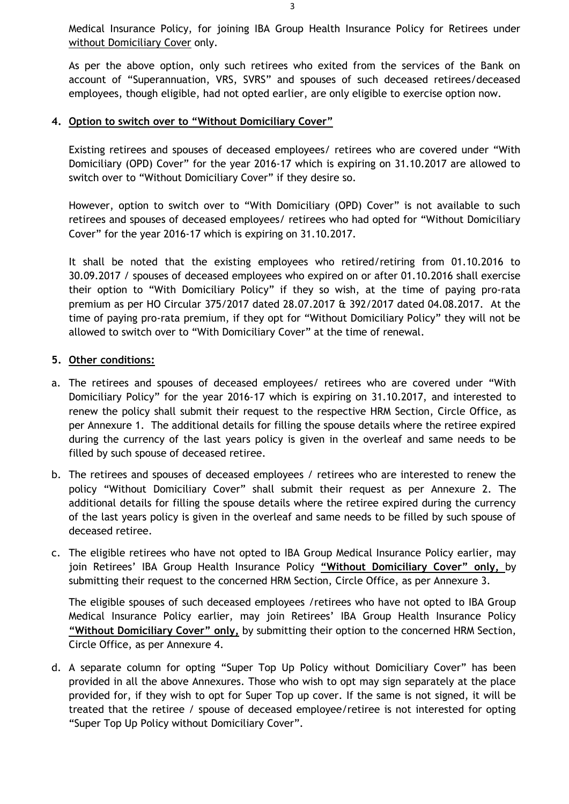Medical Insurance Policy, for joining IBA Group Health Insurance Policy for Retirees under without Domiciliary Cover only.

As per the above option, only such retirees who exited from the services of the Bank on account of "Superannuation, VRS, SVRS" and spouses of such deceased retirees/deceased employees, though eligible, had not opted earlier, are only eligible to exercise option now.

#### **4. Option to switch over to "Without Domiciliary Cover"**

Existing retirees and spouses of deceased employees/ retirees who are covered under "With Domiciliary (OPD) Cover" for the year 2016-17 which is expiring on 31.10.2017 are allowed to switch over to "Without Domiciliary Cover" if they desire so.

However, option to switch over to "With Domiciliary (OPD) Cover" is not available to such retirees and spouses of deceased employees/ retirees who had opted for "Without Domiciliary Cover" for the year 2016-17 which is expiring on 31.10.2017.

It shall be noted that the existing employees who retired/retiring from 01.10.2016 to 30.09.2017 / spouses of deceased employees who expired on or after 01.10.2016 shall exercise their option to "With Domiciliary Policy" if they so wish, at the time of paying pro-rata premium as per HO Circular 375/2017 dated 28.07.2017 & 392/2017 dated 04.08.2017. At the time of paying pro-rata premium, if they opt for "Without Domiciliary Policy" they will not be allowed to switch over to "With Domiciliary Cover" at the time of renewal.

#### **5. Other conditions:**

- a. The retirees and spouses of deceased employees/ retirees who are covered under "With Domiciliary Policy" for the year 2016-17 which is expiring on 31.10.2017, and interested to renew the policy shall submit their request to the respective HRM Section, Circle Office, as per Annexure 1. The additional details for filling the spouse details where the retiree expired during the currency of the last years policy is given in the overleaf and same needs to be filled by such spouse of deceased retiree.
- b. The retirees and spouses of deceased employees / retirees who are interested to renew the policy "Without Domiciliary Cover" shall submit their request as per Annexure 2. The additional details for filling the spouse details where the retiree expired during the currency of the last years policy is given in the overleaf and same needs to be filled by such spouse of deceased retiree.
- c. The eligible retirees who have not opted to IBA Group Medical Insurance Policy earlier, may join Retirees' IBA Group Health Insurance Policy **"Without Domiciliary Cover" only,** by submitting their request to the concerned HRM Section, Circle Office, as per Annexure 3.

The eligible spouses of such deceased employees /retirees who have not opted to IBA Group Medical Insurance Policy earlier, may join Retirees' IBA Group Health Insurance Policy **"Without Domiciliary Cover" only,** by submitting their option to the concerned HRM Section, Circle Office, as per Annexure 4.

d. A separate column for opting "Super Top Up Policy without Domiciliary Cover" has been provided in all the above Annexures. Those who wish to opt may sign separately at the place provided for, if they wish to opt for Super Top up cover. If the same is not signed, it will be treated that the retiree / spouse of deceased employee/retiree is not interested for opting "Super Top Up Policy without Domiciliary Cover".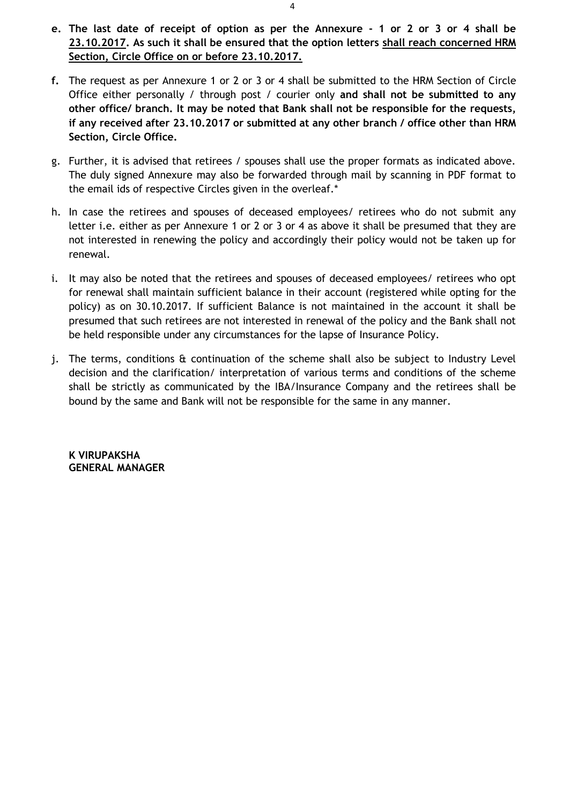- **e. The last date of receipt of option as per the Annexure - 1 or 2 or 3 or 4 shall be 23.10.2017. As such it shall be ensured that the option letters shall reach concerned HRM Section, Circle Office on or before 23.10.2017.**
- **f.** The request as per Annexure 1 or 2 or 3 or 4 shall be submitted to the HRM Section of Circle Office either personally / through post / courier only **and shall not be submitted to any other office/ branch. It may be noted that Bank shall not be responsible for the requests, if any received after 23.10.2017 or submitted at any other branch / office other than HRM Section, Circle Office.**
- g. Further, it is advised that retirees / spouses shall use the proper formats as indicated above. The duly signed Annexure may also be forwarded through mail by scanning in PDF format to the email ids of respective Circles given in the overleaf.\*
- h. In case the retirees and spouses of deceased employees/ retirees who do not submit any letter i.e. either as per Annexure 1 or 2 or 3 or 4 as above it shall be presumed that they are not interested in renewing the policy and accordingly their policy would not be taken up for renewal.
- i. It may also be noted that the retirees and spouses of deceased employees/ retirees who opt for renewal shall maintain sufficient balance in their account (registered while opting for the policy) as on 30.10.2017. If sufficient Balance is not maintained in the account it shall be presumed that such retirees are not interested in renewal of the policy and the Bank shall not be held responsible under any circumstances for the lapse of Insurance Policy.
- j. The terms, conditions & continuation of the scheme shall also be subject to Industry Level decision and the clarification/ interpretation of various terms and conditions of the scheme shall be strictly as communicated by the IBA/Insurance Company and the retirees shall be bound by the same and Bank will not be responsible for the same in any manner.

**K VIRUPAKSHA GENERAL MANAGER**